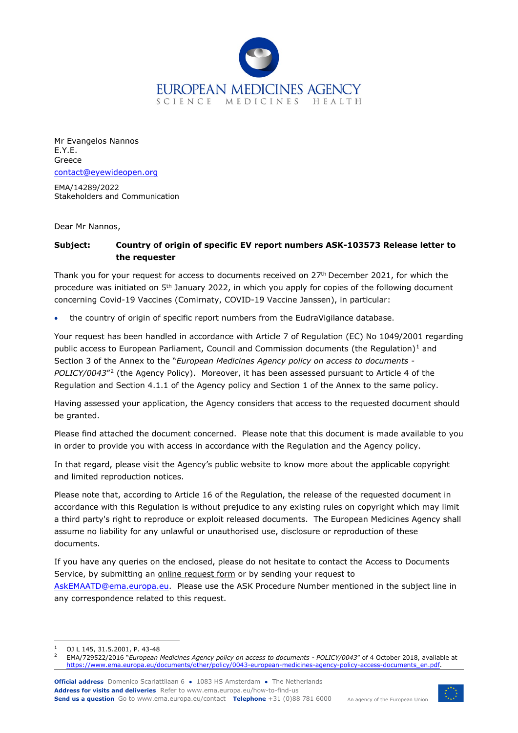

Mr Evangelos Nannos E.Y.E. Greece [contact@eyewideopen.org](mailto:contact@eyewideopen.org)

EMA/14289/2022 Stakeholders and Communication

Dear Mr Nannos,

## **Subject: Country of origin of specific EV report numbers ASK-103573 Release letter to the requester**

Thank you for your request for access to documents received on 27<sup>th</sup> December 2021, for which the procedure was initiated on 5<sup>th</sup> January 2022, in which you apply for copies of the following document concerning Covid-19 Vaccines (Comirnaty, COVID-19 Vaccine Janssen), in particular:

the country of origin of specific report numbers from the EudraVigilance database.

Your request has been handled in accordance with Article 7 of Regulation (EC) No 1049/2001 regarding public access to European Parliament, Council and Commission documents (the Regulation)<sup>[1](#page-0-0)</sup> and Section 3 of the Annex to the "*European Medicines Agency policy on access to documents - POLICY/0043*"[2](#page-0-1) (the Agency Policy). Moreover, it has been assessed pursuant to Article 4 of the Regulation and Section 4.1.1 of the Agency policy and Section 1 of the Annex to the same policy.

Having assessed your application, the Agency considers that access to the requested document should be granted.

Please find attached the document concerned. Please note that this document is made available to you in order to provide you with access in accordance with the Regulation and the Agency policy.

In that regard, please visit the Agency's public website to know more about the applicable copyright and limited reproduction notices.

Please note that, according to Article 16 of the Regulation, the release of the requested document in accordance with this Regulation is without prejudice to any existing rules on copyright which may limit a third party's right to reproduce or exploit released documents. The European Medicines Agency shall assume no liability for any unlawful or unauthorised use, disclosure or reproduction of these documents.

If you have any queries on the enclosed, please do not hesitate to contact the Access to Documents Service, by submitting an [online request form](https://www.ema.europa.eu/en/about-us/contact/send-question-european-medicines-agency) or by sending your request to

[AskEMAATD@ema.europa.eu.](mailto:AskEMAATD@ema.europa.eu) Please use the ASK Procedure Number mentioned in the subject line in any correspondence related to this request.



<span id="page-0-0"></span><sup>1</sup> OJ L 145, 31.5.2001, P. 43-48

<span id="page-0-1"></span><sup>2</sup> EMA/729522/2016 "*European Medicines Agency policy on access to documents - POLICY/0043*" of 4 October 2018, available at [https://www.ema.europa.eu/documents/other/policy/0043-european-medicines-agency-policy-access-documents\\_en.pdf.](https://www.ema.europa.eu/documents/other/policy/0043-european-medicines-agency-policy-access-documents_en.pdf)